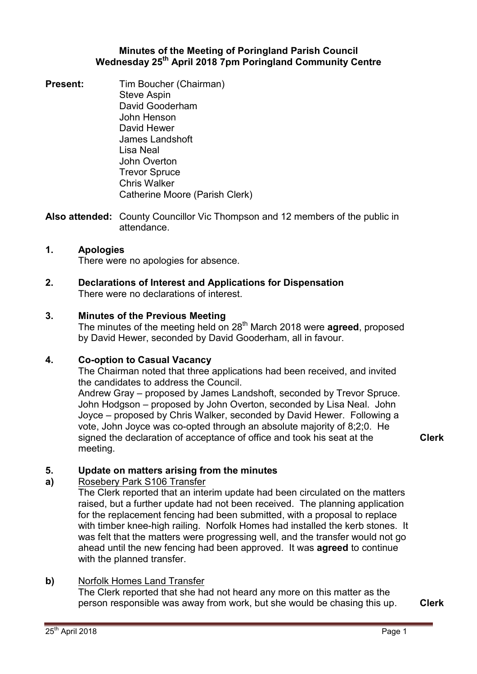# **Minutes of the Meeting of Poringland Parish Council Wednesday 25th April 2018 7pm Poringland Community Centre**

**Present:** Tim Boucher (Chairman) Steve Aspin David Gooderham John Henson David Hewer James Landshoft Lisa Neal John Overton Trevor Spruce Chris Walker Catherine Moore (Parish Clerk)

**Also attended:** County Councillor Vic Thompson and 12 members of the public in attendance.

# **1. Apologies**

There were no apologies for absence.

**2. Declarations of Interest and Applications for Dispensation** There were no declarations of interest.

## **3. Minutes of the Previous Meeting**

The minutes of the meeting held on 28<sup>th</sup> March 2018 were **agreed**, proposed by David Hewer, seconded by David Gooderham, all in favour.

### **4. Co-option to Casual Vacancy**

The Chairman noted that three applications had been received, and invited the candidates to address the Council.

Andrew Gray – proposed by James Landshoft, seconded by Trevor Spruce. John Hodgson – proposed by John Overton, seconded by Lisa Neal. John Joyce – proposed by Chris Walker, seconded by David Hewer. Following a vote, John Joyce was co-opted through an absolute majority of 8;2;0. He signed the declaration of acceptance of office and took his seat at the meeting.

**Clerk**

### **5. Update on matters arising from the minutes**

#### **a)**  Rosebery Park S106 Transfer

The Clerk reported that an interim update had been circulated on the matters raised, but a further update had not been received. The planning application for the replacement fencing had been submitted, with a proposal to replace with timber knee-high railing. Norfolk Homes had installed the kerb stones. It was felt that the matters were progressing well, and the transfer would not go ahead until the new fencing had been approved. It was **agreed** to continue with the planned transfer.

## **b)** Norfolk Homes Land Transfer

The Clerk reported that she had not heard any more on this matter as the person responsible was away from work, but she would be chasing this up. **Clerk**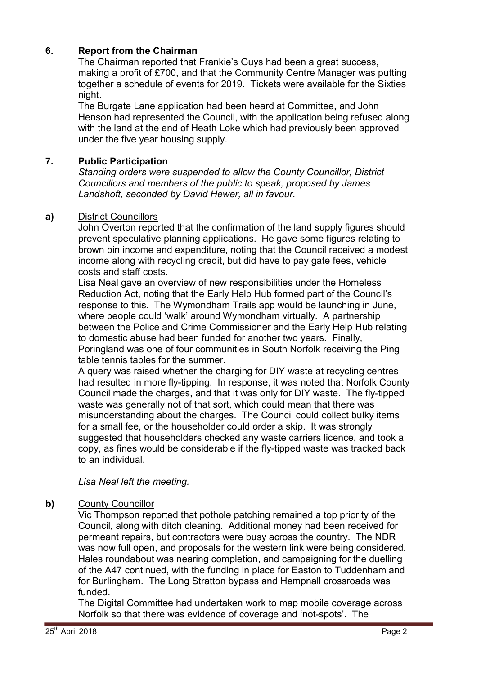# **6. Report from the Chairman**

The Chairman reported that Frankie's Guys had been a great success, making a profit of £700, and that the Community Centre Manager was putting together a schedule of events for 2019. Tickets were available for the Sixties night.

The Burgate Lane application had been heard at Committee, and John Henson had represented the Council, with the application being refused along with the land at the end of Heath Loke which had previously been approved under the five year housing supply.

# **7. Public Participation**

*Standing orders were suspended to allow the County Councillor, District Councillors and members of the public to speak, proposed by James Landshoft, seconded by David Hewer, all in favour.* 

# **a)** District Councillors

John Overton reported that the confirmation of the land supply figures should prevent speculative planning applications. He gave some figures relating to brown bin income and expenditure, noting that the Council received a modest income along with recycling credit, but did have to pay gate fees, vehicle costs and staff costs.

Lisa Neal gave an overview of new responsibilities under the Homeless Reduction Act, noting that the Early Help Hub formed part of the Council's response to this. The Wymondham Trails app would be launching in June, where people could 'walk' around Wymondham virtually. A partnership between the Police and Crime Commissioner and the Early Help Hub relating to domestic abuse had been funded for another two years. Finally, Poringland was one of four communities in South Norfolk receiving the Ping table tennis tables for the summer.

A query was raised whether the charging for DIY waste at recycling centres had resulted in more fly-tipping. In response, it was noted that Norfolk County Council made the charges, and that it was only for DIY waste. The fly-tipped waste was generally not of that sort, which could mean that there was misunderstanding about the charges. The Council could collect bulky items for a small fee, or the householder could order a skip. It was strongly suggested that householders checked any waste carriers licence, and took a copy, as fines would be considerable if the fly-tipped waste was tracked back to an individual.

*Lisa Neal left the meeting.* 

# **b)** County Councillor

Vic Thompson reported that pothole patching remained a top priority of the Council, along with ditch cleaning. Additional money had been received for permeant repairs, but contractors were busy across the country. The NDR was now full open, and proposals for the western link were being considered. Hales roundabout was nearing completion, and campaigning for the duelling of the A47 continued, with the funding in place for Easton to Tuddenham and for Burlingham. The Long Stratton bypass and Hempnall crossroads was funded.

The Digital Committee had undertaken work to map mobile coverage across Norfolk so that there was evidence of coverage and 'not-spots'. The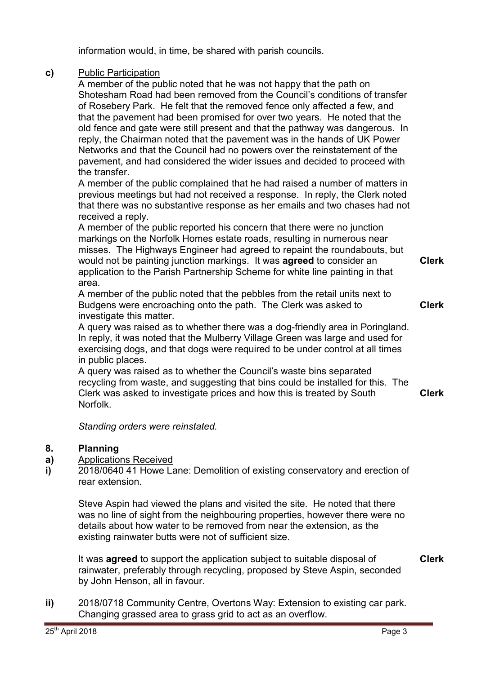information would, in time, be shared with parish councils.

# **c)** Public Participation

A member of the public noted that he was not happy that the path on Shotesham Road had been removed from the Council's conditions of transfer of Rosebery Park. He felt that the removed fence only affected a few, and that the pavement had been promised for over two years. He noted that the old fence and gate were still present and that the pathway was dangerous. In reply, the Chairman noted that the pavement was in the hands of UK Power Networks and that the Council had no powers over the reinstatement of the pavement, and had considered the wider issues and decided to proceed with the transfer.

A member of the public complained that he had raised a number of matters in previous meetings but had not received a response. In reply, the Clerk noted that there was no substantive response as her emails and two chases had not received a reply.

A member of the public reported his concern that there were no junction markings on the Norfolk Homes estate roads, resulting in numerous near misses. The Highways Engineer had agreed to repaint the roundabouts, but would not be painting junction markings. It was **agreed** to consider an application to the Parish Partnership Scheme for white line painting in that area.

A member of the public noted that the pebbles from the retail units next to Budgens were encroaching onto the path. The Clerk was asked to investigate this matter.

A query was raised as to whether there was a dog-friendly area in Poringland. In reply, it was noted that the Mulberry Village Green was large and used for exercising dogs, and that dogs were required to be under control at all times in public places.

A query was raised as to whether the Council's waste bins separated recycling from waste, and suggesting that bins could be installed for this. The Clerk was asked to investigate prices and how this is treated by South Norfolk. **Clerk**

*Standing orders were reinstated.* 

#### **8. Planning**

**a)**  Applications Received

**i)**  2018/0640 41 Howe Lane: Demolition of existing conservatory and erection of rear extension.

Steve Aspin had viewed the plans and visited the site. He noted that there was no line of sight from the neighbouring properties, however there were no details about how water to be removed from near the extension, as the existing rainwater butts were not of sufficient size.

It was **agreed** to support the application subject to suitable disposal of rainwater, preferably through recycling, proposed by Steve Aspin, seconded by John Henson, all in favour. **Clerk**

**ii)** 2018/0718 Community Centre, Overtons Way: Extension to existing car park. Changing grassed area to grass grid to act as an overflow.

**Clerk**

**Clerk**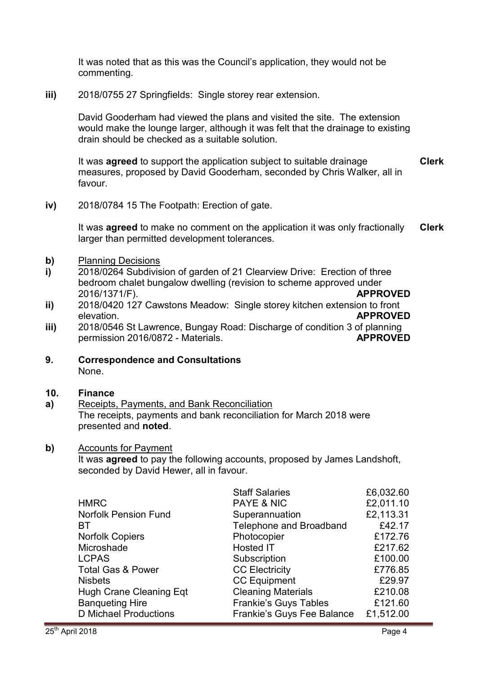It was noted that as this was the Council's application, they would not be commenting.

**iii)** 2018/0755 27 Springfields: Single storey rear extension.

David Gooderham had viewed the plans and visited the site. The extension would make the lounge larger, although it was felt that the drainage to existing drain should be checked as a suitable solution.

It was **agreed** to support the application subject to suitable drainage measures, proposed by David Gooderham, seconded by Chris Walker, all in favour. **Clerk**

**iv)** 2018/0784 15 The Footpath: Erection of gate.

It was **agreed** to make no comment on the application it was only fractionally larger than permitted development tolerances. **Clerk**

- **b)** Planning Decisions
- **i)**  2018/0264 Subdivision of garden of 21 Clearview Drive: Erection of three bedroom chalet bungalow dwelling (revision to scheme approved under 2016/1371/F). **APPROVED**
- **ii)**  2018/0420 127 Cawstons Meadow: Single storey kitchen extension to front elevation. **APPROVED**
- **iii)**  2018/0546 St Lawrence, Bungay Road: Discharge of condition 3 of planning permission 2016/0872 - Materials. **APPROVED**
- **9. Correspondence and Consultations** None.

#### **10. Finance**

**a)**  Receipts, Payments, and Bank Reconciliation The receipts, payments and bank reconciliation for March 2018 were presented and **noted**.

### **b)** Accounts for Payment

It was **agreed** to pay the following accounts, proposed by James Landshoft, seconded by David Hewer, all in favour.

|                              | <b>Staff Salaries</b>        | £6,032.60 |
|------------------------------|------------------------------|-----------|
| <b>HMRC</b>                  | <b>PAYE &amp; NIC</b>        | £2,011.10 |
| <b>Norfolk Pension Fund</b>  | Superannuation               | £2,113.31 |
| BT                           | Telephone and Broadband      | £42.17    |
| <b>Norfolk Copiers</b>       | Photocopier                  | £172.76   |
| Microshade                   | Hosted IT                    | £217.62   |
| <b>LCPAS</b>                 | Subscription                 | £100.00   |
| <b>Total Gas &amp; Power</b> | <b>CC Electricity</b>        | £776.85   |
| <b>Nisbets</b>               | <b>CC Equipment</b>          | £29.97    |
| Hugh Crane Cleaning Eqt      | <b>Cleaning Materials</b>    | £210.08   |
| <b>Banqueting Hire</b>       | <b>Frankie's Guys Tables</b> | £121.60   |
| <b>D</b> Michael Productions | Frankie's Guys Fee Balance   | £1,512.00 |
|                              |                              |           |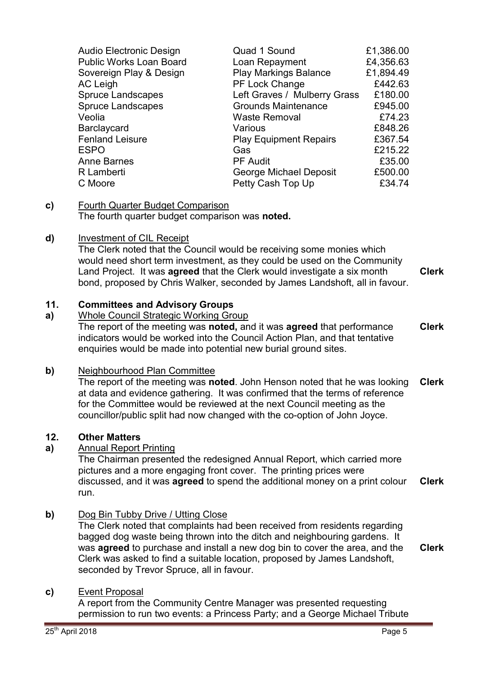| <b>Audio Electronic Design</b><br><b>Public Works Loan Board</b><br>Sovereign Play & Design<br>AC Leigh<br><b>Spruce Landscapes</b><br><b>Spruce Landscapes</b><br>Veolia<br><b>Barclaycard</b><br><b>Fenland Leisure</b><br><b>ESPO</b><br><b>Anne Barnes</b><br>R Lamberti | Quad 1 Sound<br>Loan Repayment<br><b>Play Markings Balance</b><br>PF Lock Change<br>Left Graves / Mulberry Grass<br><b>Grounds Maintenance</b><br><b>Waste Removal</b><br>Various<br><b>Play Equipment Repairs</b><br>Gas<br><b>PF Audit</b><br>George Michael Deposit | £1,386.00<br>£4,356.63<br>£1,894.49<br>£442.63<br>£180.00<br>£945.00<br>£74.23<br>£848.26<br>£367.54<br>£215.22<br>£35.00<br>£500.00 |
|------------------------------------------------------------------------------------------------------------------------------------------------------------------------------------------------------------------------------------------------------------------------------|------------------------------------------------------------------------------------------------------------------------------------------------------------------------------------------------------------------------------------------------------------------------|--------------------------------------------------------------------------------------------------------------------------------------|
| C Moore                                                                                                                                                                                                                                                                      | Petty Cash Top Up                                                                                                                                                                                                                                                      | £34.74                                                                                                                               |
|                                                                                                                                                                                                                                                                              |                                                                                                                                                                                                                                                                        |                                                                                                                                      |

### **c)** Fourth Quarter Budget Comparison The fourth quarter budget comparison was **noted.**

# **d)** Investment of CIL Receipt

The Clerk noted that the Council would be receiving some monies which would need short term investment, as they could be used on the Community Land Project. It was **agreed** that the Clerk would investigate a six month bond, proposed by Chris Walker, seconded by James Landshoft, all in favour. **Clerk**

### **11. Committees and Advisory Groups**

### **a)**  Whole Council Strategic Working Group

The report of the meeting was **noted,** and it was **agreed** that performance indicators would be worked into the Council Action Plan, and that tentative enquiries would be made into potential new burial ground sites. **Clerk**

## **b)** Neighbourhood Plan Committee

The report of the meeting was **noted**. John Henson noted that he was looking at data and evidence gathering. It was confirmed that the terms of reference for the Committee would be reviewed at the next Council meeting as the councillor/public split had now changed with the co-option of John Joyce. **Clerk**

## **12. Other Matters**

# **a)** Annual Report Printing

The Chairman presented the redesigned Annual Report, which carried more pictures and a more engaging front cover. The printing prices were discussed, and it was **agreed** to spend the additional money on a print colour run. **Clerk**

# **b)** Dog Bin Tubby Drive / Utting Close

The Clerk noted that complaints had been received from residents regarding bagged dog waste being thrown into the ditch and neighbouring gardens. It was **agreed** to purchase and install a new dog bin to cover the area, and the Clerk was asked to find a suitable location, proposed by James Landshoft, seconded by Trevor Spruce, all in favour. **Clerk**

## **c)** Event Proposal

A report from the Community Centre Manager was presented requesting permission to run two events: a Princess Party; and a George Michael Tribute